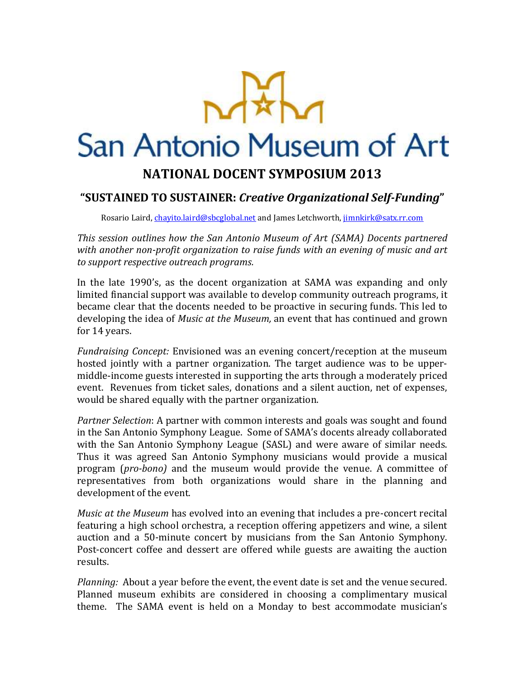

## San Antonio Museum of Art **NATIONAL DOCENT SYMPOSIUM 2013**

## **"SUSTAINED TO SUSTAINER:** *Creative Organizational Self-Funding***"**

Rosario Laird[, chayito.laird@sbcglobal.net](mailto:chayito.laird@sbcglobal.net) and James Letchworth[, jimnkirk@satx.rr.com](mailto:jimnkirk@satx.rr.com)

*This session outlines how the San Antonio Museum of Art (SAMA) Docents partnered with another non-profit organization to raise funds with an evening of music and art to support respective outreach programs.*

In the late 1990's, as the docent organization at SAMA was expanding and only limited financial support was available to develop community outreach programs, it became clear that the docents needed to be proactive in securing funds. This led to developing the idea of *Music at the Museum,* an event that has continued and grown for 14 years.

*Fundraising Concept:* Envisioned was an evening concert/reception at the museum hosted jointly with a partner organization. The target audience was to be uppermiddle-income guests interested in supporting the arts through a moderately priced event. Revenues from ticket sales, donations and a silent auction, net of expenses, would be shared equally with the partner organization.

*Partner Selection*: A partner with common interests and goals was sought and found in the San Antonio Symphony League. Some of SAMA's docents already collaborated with the San Antonio Symphony League (SASL) and were aware of similar needs. Thus it was agreed San Antonio Symphony musicians would provide a musical program (*pro-bono)* and the museum would provide the venue. A committee of representatives from both organizations would share in the planning and development of the event.

*Music at the Museum* has evolved into an evening that includes a pre-concert recital featuring a high school orchestra, a reception offering appetizers and wine, a silent auction and a 50-minute concert by musicians from the San Antonio Symphony. Post-concert coffee and dessert are offered while guests are awaiting the auction results.

*Planning:* About a year before the event, the event date is set and the venue secured. Planned museum exhibits are considered in choosing a complimentary musical theme. The SAMA event is held on a Monday to best accommodate musician's